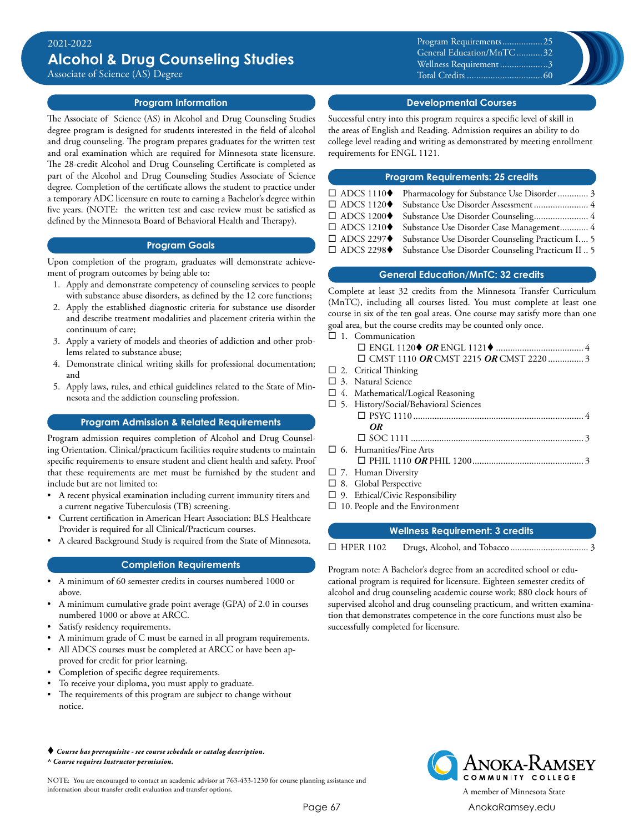Associate of Science (AS) Degree

### **Program Information**

The Associate of Science (AS) in Alcohol and Drug Counseling Studies degree program is designed for students interested in the field of alcohol and drug counseling. The program prepares graduates for the written test and oral examination which are required for Minnesota state licensure. The 28-credit Alcohol and Drug Counseling Certificate is completed as part of the Alcohol and Drug Counseling Studies Associate of Science degree. Completion of the certificate allows the student to practice under a temporary ADC licensure en route to earning a Bachelor's degree within five years. (NOTE: the written test and case review must be satisfied as defined by the Minnesota Board of Behavioral Health and Therapy).

#### **Program Goals**

Upon completion of the program, graduates will demonstrate achievement of program outcomes by being able to:

- 1. Apply and demonstrate competency of counseling services to people with substance abuse disorders, as defined by the 12 core functions;
- 2. Apply the established diagnostic criteria for substance use disorder and describe treatment modalities and placement criteria within the continuum of care;
- 3. Apply a variety of models and theories of addiction and other problems related to substance abuse;
- 4. Demonstrate clinical writing skills for professional documentation; and
- 5. Apply laws, rules, and ethical guidelines related to the State of Minnesota and the addiction counseling profession.

### **Program Admission & Related Requirements**

Program admission requires completion of Alcohol and Drug Counseling Orientation. Clinical/practicum facilities require students to maintain specific requirements to ensure student and client health and safety. Proof that these requirements are met must be furnished by the student and include but are not limited to:

- A recent physical examination including current immunity titers and a current negative Tuberculosis (TB) screening.
- Current certification in American Heart Association: BLS Healthcare Provider is required for all Clinical/Practicum courses.
- A cleared Background Study is required from the State of Minnesota.

### **Completion Requirements**

- A minimum of 60 semester credits in courses numbered 1000 or above.
- A minimum cumulative grade point average (GPA) of 2.0 in courses numbered 1000 or above at ARCC.
- Satisfy residency requirements.
- A minimum grade of C must be earned in all program requirements.
- All ADCS courses must be completed at ARCC or have been approved for credit for prior learning.
- Completion of specific degree requirements.
- To receive your diploma, you must apply to graduate.
- The requirements of this program are subject to change without notice.

#### *Course has prerequisite - see course schedule or catalog description. ^ Course requires Instructor permission.*

NOTE: You are encouraged to contact an academic advisor at 763-433-1230 for course planning assistance and information about transfer credit evaluation and transfer options. A member of Minnesota State

Program Requirements..................25 General Education/MnTC............32 Wellness Requirement.....................3 Total Credits.................................60

### **Developmental Courses**

Successful entry into this program requires a specific level of skill in the areas of English and Reading. Admission requires an ability to do college level reading and writing as demonstrated by meeting enrollment requirements for ENGL 1121.

#### **Program Requirements: 25 credits**

| □ ADCS 1110◆ Pharmacology for Substance Use Disorder 3        |  |
|---------------------------------------------------------------|--|
| □ ADCS 1120◆ Substance Use Disorder Assessment 4              |  |
| □ ADCS 1200◆ Substance Use Disorder Counseling 4              |  |
| □ ADCS 1210◆ Substance Use Disorder Case Management 4         |  |
| □ ADCS 2297◆ Substance Use Disorder Counseling Practicum I 5  |  |
| □ ADCS 2298◆ Substance Use Disorder Counseling Practicum II 5 |  |
|                                                               |  |

### **General Education/MnTC: 32 credits**

Complete at least 32 credits from the Minnesota Transfer Curriculum (MnTC), including all courses listed. You must complete at least one course in six of the ten goal areas. One course may satisfy more than one goal area, but the course credits may be counted only once.

 $\square$  1. Communication ¨ ENGL 1120t *OR* ENGL 1121t...................................... 4 □ CMST 1110 OR CMST 2215 OR CMST 2220.................3  $\square$  2. Critical Thinking  $\square$  3. Natural Science  $\square$  4. Mathematical/Logical Reasoning  $\square$  5. History/Social/Behavioral Sciences ¨ PSYC 1110......................................................................... 4 *OR* ¨ SOC 1111.......................................................................... 3  $\square$  6. Humanities/Fine Arts ¨ PHIL 1110 *OR* PHIL 1200................................................ 3  $\square$  7. Human Diversity  $\square$  8. Global Perspective  $\square$  9. Ethical/Civic Responsibility  $\square$  10. People and the Environment

| <b>Wellness Requirement: 3 credits</b> |  |  |  |  |
|----------------------------------------|--|--|--|--|
| $\Box$ HPER 1102                       |  |  |  |  |

Program note: A Bachelor's degree from an accredited school or educational program is required for licensure. Eighteen semester credits of alcohol and drug counseling academic course work; 880 clock hours of supervised alcohol and drug counseling practicum, and written examination that demonstrates competence in the core functions must also be successfully completed for licensure.